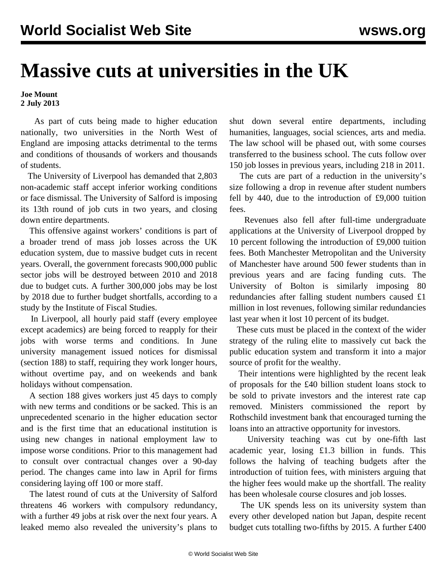## **Massive cuts at universities in the UK**

**Joe Mount 2 July 2013**

 As part of cuts being made to higher education nationally, two universities in the North West of England are imposing attacks detrimental to the terms and conditions of thousands of workers and thousands of students.

 The University of Liverpool has demanded that 2,803 non-academic staff accept inferior working conditions or face dismissal. The University of Salford is imposing its 13th round of job cuts in two years, and closing down entire departments.

 This offensive against workers' conditions is part of a broader trend of mass job losses across the UK education system, due to massive budget cuts in recent years. Overall, the government forecasts 900,000 public sector jobs will be destroyed between 2010 and 2018 due to budget cuts. A further 300,000 jobs may be lost by 2018 due to further budget shortfalls, according to a study by the Institute of Fiscal Studies.

 In Liverpool, all hourly paid staff (every employee except academics) are being forced to reapply for their jobs with worse terms and conditions. In June university management issued notices for dismissal (section 188) to staff, requiring they work longer hours, without overtime pay, and on weekends and bank holidays without compensation.

 A section 188 gives workers just 45 days to comply with new terms and conditions or be sacked. This is an unprecedented scenario in the higher education sector and is the first time that an educational institution is using new changes in national employment law to impose worse conditions. Prior to this management had to consult over contractual changes over a 90-day period. The changes came into law in April for firms considering laying off 100 or more staff.

 The latest round of cuts at the University of Salford threatens 46 workers with compulsory redundancy, with a further 49 jobs at risk over the next four years. A leaked memo also revealed the university's plans to

shut down several entire departments, including humanities, languages, social sciences, arts and media. The law school will be phased out, with some courses transferred to the business school. The cuts follow over 150 job losses in previous years, including 218 in 2011.

 The cuts are part of a reduction in the university's size following a drop in revenue after student numbers fell by 440, due to the introduction of £9,000 tuition fees.

 Revenues also fell after full-time undergraduate applications at the University of Liverpool dropped by 10 percent following the introduction of £9,000 tuition fees. Both Manchester Metropolitan and the University of Manchester have around 500 fewer students than in previous years and are facing funding cuts. The University of Bolton is similarly imposing 80 redundancies after falling student numbers caused £1 million in lost revenues, following similar redundancies last year when it lost 10 percent of its budget.

 These cuts must be placed in the context of the wider strategy of the ruling elite to massively cut back the public education system and transform it into a major source of profit for the wealthy.

 Their intentions were highlighted by the recent leak of proposals for the £40 billion student loans stock to be sold to private investors and the interest rate cap removed. Ministers commissioned the report by Rothschild investment bank that encouraged turning the loans into an attractive opportunity for investors.

 University teaching was cut by one-fifth last academic year, losing £1.3 billion in funds. This follows the halving of teaching budgets after the introduction of tuition fees, with ministers arguing that the higher fees would make up the shortfall. The reality has been wholesale course closures and job losses.

 The UK spends less on its university system than every other developed nation but Japan, despite recent budget cuts totalling two-fifths by 2015. A further £400